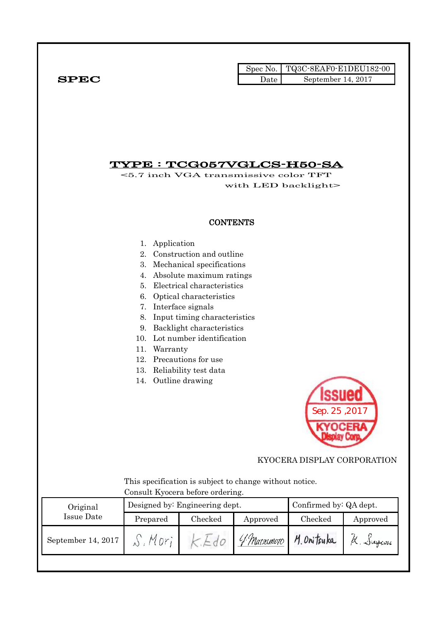|              |      | Spec No. $\vert$ TQ3C-8EAF0-E1DEU182-00 |
|--------------|------|-----------------------------------------|
| ${\bf SPEC}$ | Date | September 14, $2017$                    |

## TYPE : TCG057VGLCS-H50-SA

<5.7 inch VGA transmissive color TFT with LED backlight>

### **CONTENTS**

- 1. Application
- 2. Construction and outline
- 3. Mechanical specifications
- 4. Absolute maximum ratings
- 5. Electrical characteristics
- 6. Optical characteristics
- 7. Interface signals
- 8. Input timing characteristics
- 9. Backlight characteristics
- 10. Lot number identification
- 11. Warranty
- 12. Precautions for use
- 13. Reliability test data
- 14. Outline drawing



### KYOCERA DISPLAY CORPORATION

 This specification is subject to change without notice. Consult Kyocera before ordering.

| Original           |          | Designed by: Engineering dept. | Confirmed by: QA dept. |             |          |
|--------------------|----------|--------------------------------|------------------------|-------------|----------|
| Issue Date         | Prepared | Checked<br>Approved            |                        | Checked     | Approved |
| September 14, 2017 | Mnr      | $\sim$ 0                       | 4 Marsumoto            | M. Onitsuka | K. Sugam |
|                    |          |                                |                        |             |          |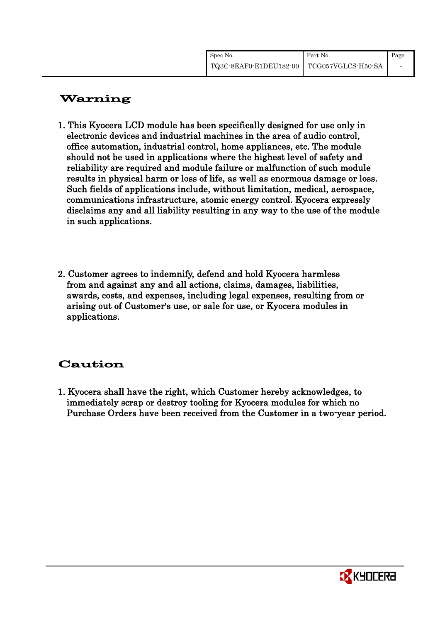| Spec No.                                    | Part No. | Page |
|---------------------------------------------|----------|------|
| TQ3C-8EAF0-E1DEU182-00   TCG057VGLCS-H50-SA |          | -    |

# Warning

- 1. This Kyocera LCD module has been specifically designed for use only in electronic devices and industrial machines in the area of audio control, office automation, industrial control, home appliances, etc. The module should not be used in applications where the highest level of safety and reliability are required and module failure or malfunction of such module results in physical harm or loss of life, as well as enormous damage or loss. Such fields of applications include, without limitation, medical, aerospace, communications infrastructure, atomic energy control. Kyocera expressly disclaims any and all liability resulting in any way to the use of the module in such applications.
- 2. Customer agrees to indemnify, defend and hold Kyocera harmless from and against any and all actions, claims, damages, liabilities, awards, costs, and expenses, including legal expenses, resulting from or arising out of Customer's use, or sale for use, or Kyocera modules in applications.

# Caution

1. Kyocera shall have the right, which Customer hereby acknowledges, to immediately scrap or destroy tooling for Kyocera modules for which no Purchase Orders have been received from the Customer in a two-year period.

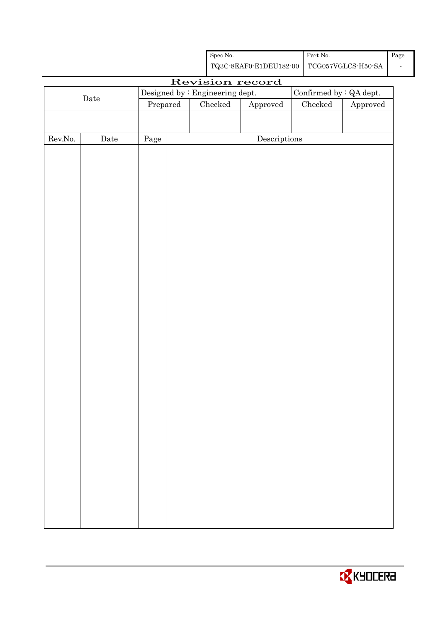| Spec No.                                    | Part No. | Page |
|---------------------------------------------|----------|------|
| TQ3C-8EAF0-E1DEU182-00   TCG057VGLCS-H50-SA |          |      |

|                  |             |          | Revision record                 |                                      |                                |          |
|------------------|-------------|----------|---------------------------------|--------------------------------------|--------------------------------|----------|
|                  | $\rm{Date}$ |          | Designed by : Engineering dept. |                                      | Confirmed by $\colon$ QA dept. |          |
|                  |             | Prepared | $\rm Checked$                   | ${\Large\bf Approved}$               | $\rm Checked$                  | Approved |
|                  |             |          |                                 |                                      |                                |          |
|                  |             |          |                                 |                                      |                                |          |
| ${\rm Rev. No.}$ | $\rm{Date}$ | Page     |                                 | $\label{eq:2} \textbf{Descriptions}$ |                                |          |
|                  |             |          |                                 |                                      |                                |          |
|                  |             |          |                                 |                                      |                                |          |
|                  |             |          |                                 |                                      |                                |          |
|                  |             |          |                                 |                                      |                                |          |
|                  |             |          |                                 |                                      |                                |          |
|                  |             |          |                                 |                                      |                                |          |
|                  |             |          |                                 |                                      |                                |          |
|                  |             |          |                                 |                                      |                                |          |
|                  |             |          |                                 |                                      |                                |          |
|                  |             |          |                                 |                                      |                                |          |
|                  |             |          |                                 |                                      |                                |          |
|                  |             |          |                                 |                                      |                                |          |
|                  |             |          |                                 |                                      |                                |          |
|                  |             |          |                                 |                                      |                                |          |
|                  |             |          |                                 |                                      |                                |          |
|                  |             |          |                                 |                                      |                                |          |
|                  |             |          |                                 |                                      |                                |          |
|                  |             |          |                                 |                                      |                                |          |
|                  |             |          |                                 |                                      |                                |          |
|                  |             |          |                                 |                                      |                                |          |
|                  |             |          |                                 |                                      |                                |          |
|                  |             |          |                                 |                                      |                                |          |
|                  |             |          |                                 |                                      |                                |          |
|                  |             |          |                                 |                                      |                                |          |
|                  |             |          |                                 |                                      |                                |          |
|                  |             |          |                                 |                                      |                                |          |
|                  |             |          |                                 |                                      |                                |          |
|                  |             |          |                                 |                                      |                                |          |
|                  |             |          |                                 |                                      |                                |          |
|                  |             |          |                                 |                                      |                                |          |
|                  |             |          |                                 |                                      |                                |          |
|                  |             |          |                                 |                                      |                                |          |
|                  |             |          |                                 |                                      |                                |          |
|                  |             |          |                                 |                                      |                                |          |
|                  |             |          |                                 |                                      |                                |          |
|                  |             |          |                                 |                                      |                                |          |
|                  |             |          |                                 |                                      |                                |          |
|                  |             |          |                                 |                                      |                                |          |

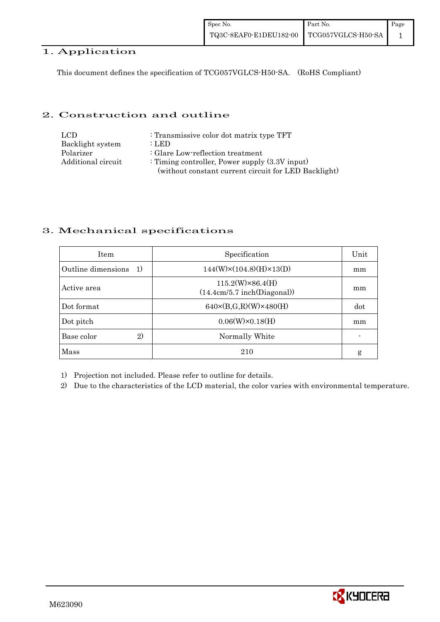### 1. Application

This document defines the specification of TCG057VGLCS-H50-SA. (RoHS Compliant)

#### 2. Construction and outline

| LCD.               | : Transmissive color dot matrix type TFT             |
|--------------------|------------------------------------------------------|
| Backlight system   | : LED                                                |
| Polarizer          | : Glare Low-reflection treatment                     |
| Additional circuit | : Timing controller, Power supply $(3.3V)$ input)    |
|                    | (without constant current circuit for LED Backlight) |

### 3. Mechanical specifications

| <b>Item</b>                        | Specification                                          | Unit |
|------------------------------------|--------------------------------------------------------|------|
| Outline dimensions<br><sup>1</sup> | $144(W)\times(104.8)(H)\times13(D)$                    | mm   |
| Active area                        | $115.2(W)\times86.4(H)$<br>(14.4cm/5.7 inch(Diagonal)) | mm   |
| Dot format                         | $640 \times (B,G,R)(W) \times 480(H)$                  | dot  |
| Dot pitch                          | $0.06(W)\times0.18(H)$                                 | mm   |
| 2)<br>Base color                   | Normally White                                         |      |
| Mass                               | 210                                                    | g    |

1) Projection not included. Please refer to outline for details.

2) Due to the characteristics of the LCD material, the color varies with environmental temperature.

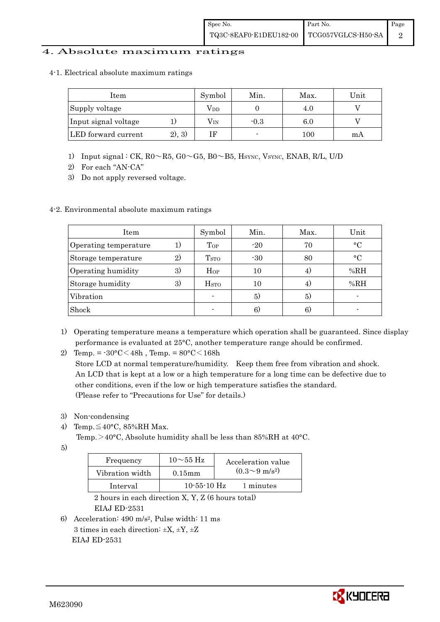#### 4. Absolute maximum ratings

4-1. Electrical absolute maximum ratings

| ltem                 |         | Symbol | Min.   | Max.    | Unit |
|----------------------|---------|--------|--------|---------|------|
| Supply voltage       |         | Vdd    |        | 4.U     |      |
| Input signal voltage |         | Vin    | $-0.3$ | $6.0\,$ |      |
| LED forward current  | (2), 3) | ΙF     |        | 100     | mA   |

- 1) Input signal : CK, R0~R5, G0~G5, B0~B5, HSYNC, VSYNC, ENAB, R/L, U/D
- 2) For each "AN-CA"
- 3) Do not apply reversed voltage.

#### 4-2. Environmental absolute maximum ratings

| Item                  |    | Symbol             | Min.  | Max. | Unit        |
|-----------------------|----|--------------------|-------|------|-------------|
| Operating temperature | 1) | $\mathrm{Top}$     | $-20$ | 70   | $^{\circ}C$ |
| Storage temperature   | 2) | T <sub>STO</sub>   | $-30$ | 80   | $^{\circ}C$ |
| Operating humidity    | 3) | Hop                | 10    |      | %RH         |
| Storage humidity      | 3) | $_{\mathrm{HSTO}}$ | 10    | 4)   | %RH         |
| Vibration             |    |                    | 5)    | 5)   |             |
| Shock                 |    |                    | 6)    | 6)   |             |

1) Operating temperature means a temperature which operation shall be guaranteed. Since display performance is evaluated at 25°C, another temperature range should be confirmed.

2) Temp. =  $-30^{\circ}$ C $<$ 48h, Temp. =  $80^{\circ}$ C $<$ 168h

 Store LCD at normal temperature/humidity. Keep them free from vibration and shock. An LCD that is kept at a low or a high temperature for a long time can be defective due to other conditions, even if the low or high temperature satisfies the standard. (Please refer to "Precautions for Use" for details.)

- 3) Non-condensing
- 4) Temp. $\leq 40^{\circ}$ C, 85%RH Max.

Temp. >40°C, Absolute humidity shall be less than 85%RH at 40°C.

5)

| Frequency       | $10\sim$ 55 Hz    | Acceleration value         |
|-----------------|-------------------|----------------------------|
| Vibration width | $0.15$ mm         | $(0.3{\sim}9~{\rm m/s^2})$ |
| Interval        | $10 - 55 - 10$ Hz | 1 minutes                  |

 2 hours in each direction X, Y, Z (6 hours total) EIAJ ED-2531

6) Acceleration: 490 m/s2, Pulse width: 11 ms 3 times in each direction:  $\pm X$ ,  $\pm Y$ ,  $\pm Z$ EIAJ ED-2531

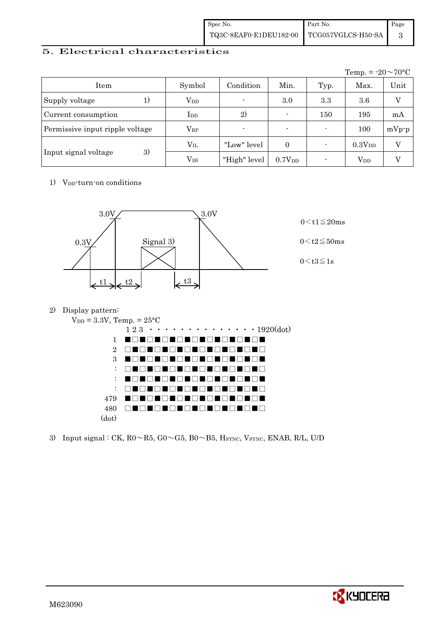| Spec No.                                  | Part No. | Page |
|-------------------------------------------|----------|------|
| TQ3C-8EAF0-E1DEU182-00 TCG057VGLCS-H50-SA |          |      |

### 5. Electrical characteristics

|                                 |               |                          |                    |      | Temp. = $-20 \sim 70$ °C |         |
|---------------------------------|---------------|--------------------------|--------------------|------|--------------------------|---------|
| Item                            | Symbol        | Condition                | Min.               | Typ. | Max.                     | Unit    |
| Supply voltage<br>1)            | $\rm V_{DD}$  | $\blacksquare$           | 3.0                | 3.3  | 3.6                      |         |
| Current consumption             | $_{\rm{LDD}}$ | 2)                       | $\blacksquare$     | 150  | 195                      | mA      |
| Permissive input ripple voltage | $\rm V_{RP}$  | $\overline{\phantom{0}}$ | $\blacksquare$     |      | 100                      | $mVp-p$ |
|                                 | $\rm V_{II}$  | "Low" level"             | $\Omega$           |      | 0.3V <sub>DD</sub>       | V       |
| 3)<br>Input signal voltage      | $\rm V_{IH}$  | "High" level             | 0.7V <sub>DD</sub> |      | $V_{DD}$                 |         |

1) V<sub>DD</sub>-turn-on conditions



2) Display pattern:



3) Input signal : CK,  $R0 \sim R5$ ,  $G0 \sim G5$ ,  $B0 \sim B5$ ,  $H_{\text{SYNC}}$ ,  $V_{\text{SYNC}}$ ,  $ENAB$ ,  $R/L$ ,  $U/D$ 

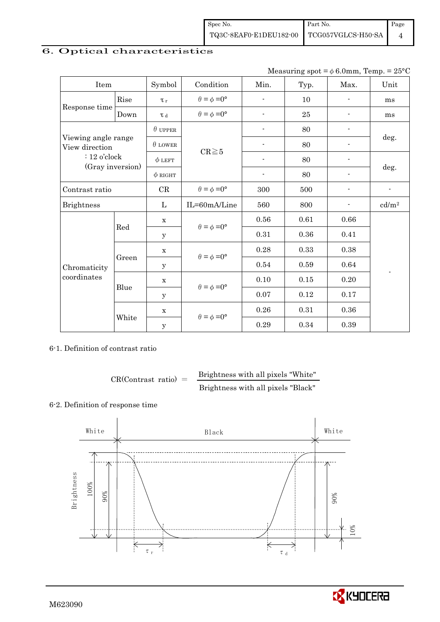## 6. Optical characteristics

Measuring spot =  $\phi$  6.0mm, Temp. = 25°C

| Item                                  |       | Symbol         | Condition                   | Min.                     | Typ.       | Max.                     | Unit                     |  |
|---------------------------------------|-------|----------------|-----------------------------|--------------------------|------------|--------------------------|--------------------------|--|
|                                       | Rise  | $\tau_r$       | $\theta = \phi = 0^{\circ}$ | $\overline{\phantom{a}}$ | 10         | $\overline{\phantom{0}}$ | ms                       |  |
| Response time                         | Down  | $\tau$ d       | $\theta = \phi = 0^{\circ}$ | $\blacksquare$           | $25\,$     |                          | ms                       |  |
|                                       |       | $\theta$ upper |                             | -                        | 80         |                          |                          |  |
| Viewing angle range<br>View direction |       | $\theta$ LOWER |                             |                          | 80         |                          | deg.                     |  |
| $: 12$ o'clock                        |       | $\phi$ LEFT    | $CR \ge 5$                  |                          | 80         |                          |                          |  |
| (Gray inversion)                      |       | $\phi$ RIGHT   |                             | $\overline{\phantom{a}}$ | 80         | -                        | deg.                     |  |
| Contrast ratio                        |       | CR             | $\theta = \phi = 0^{\circ}$ | 300                      | 500        | $\blacksquare$           | $\overline{\phantom{a}}$ |  |
| <b>Brightness</b>                     |       | L              | IL=60mA/Line                | 560                      | 800        |                          | cd/m <sup>2</sup>        |  |
|                                       | Red   | $\mathbf x$    | $\theta = \phi = 0^{\circ}$ | 0.56                     | 0.61       | 0.66                     |                          |  |
|                                       |       | y              |                             | 0.31                     | 0.36       | 0.41                     |                          |  |
|                                       |       | $\mathbf x$    |                             | 0.28                     | 0.33       | 0.38                     |                          |  |
| Chromaticity                          | Green | У              | $\theta = \phi = 0^{\circ}$ | 0.54                     | $\,0.59\,$ | 0.64                     |                          |  |
| coordinates                           |       | $\mathbf x$    |                             | 0.10                     | 0.15       | 0.20                     |                          |  |
|                                       | Blue  | У              | $\theta = \phi = 0^{\circ}$ | 0.07                     | 0.12       | 0.17                     |                          |  |
|                                       |       | $\mathbf X$    |                             | $0.26\,$                 | 0.31       | 0.36                     |                          |  |
|                                       | White | $\mathbf y$    | $\theta = \phi = 0^{\circ}$ | 0.29                     | 0.34       | 0.39                     |                          |  |

6-1. Definition of contrast ratio

 $CR(Contrast ratio) =$  Brightness with all pixels "White" Brightness with all pixels "Black"

#### 6-2. Definition of response time



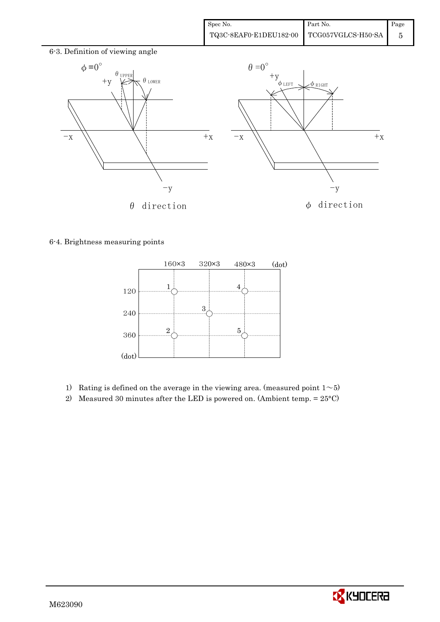

6-4. Brightness measuring points



- 1) Rating is defined on the average in the viewing area. (measured point  $1~5$ )
- 2) Measured 30 minutes after the LED is powered on. (Ambient temp. = 25°C)

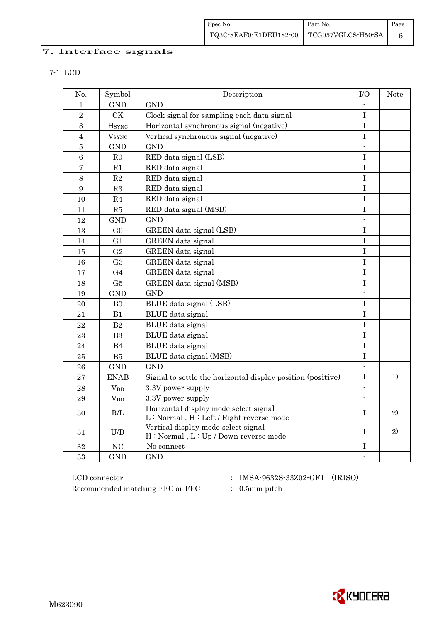| Spec No.                                  | Part No. | Page |
|-------------------------------------------|----------|------|
| TQ3C-8EAF0-E1DEU182-00 TCG057VGLCS-H50-SA |          |      |

### 7. Interface signals

| w<br>۰, |  |
|---------|--|
|---------|--|

| No.            | Symbol                   | Description                                                                      | I/O            | Note |
|----------------|--------------------------|----------------------------------------------------------------------------------|----------------|------|
| 1              | <b>GND</b>               | <b>GND</b>                                                                       |                |      |
| $\overline{2}$ | CK                       | Clock signal for sampling each data signal                                       | $\rm I$        |      |
| $\sqrt{3}$     | <b>HSYNC</b>             | Horizontal synchronous signal (negative)                                         | $\mathbf I$    |      |
| $\overline{4}$ | <b>V</b> <sub>SYNC</sub> | Vertical synchronous signal (negative)                                           | I              |      |
| $\overline{5}$ | <b>GND</b>               | <b>GND</b>                                                                       | $\overline{a}$ |      |
| $\overline{6}$ | $_{\rm R0}$              | RED data signal (LSB)                                                            | I              |      |
| $\overline{7}$ | R1                       | RED data signal                                                                  | $\overline{I}$ |      |
| $8\,$          | $\mathbf{R}2$            | RED data signal                                                                  | $\bf I$        |      |
| 9              | R3                       | RED data signal                                                                  | $\mathbf I$    |      |
| 10             | R <sub>4</sub>           | RED data signal                                                                  | I              |      |
| 11             | R5                       | RED data signal (MSB)                                                            | $\bf I$        |      |
| 12             | <b>GND</b>               | <b>GND</b>                                                                       | $\blacksquare$ |      |
| 13             | G <sub>0</sub>           | GREEN data signal (LSB)                                                          | $\bf I$        |      |
| 14             | G <sub>1</sub>           | GREEN data signal                                                                | $\mathbf I$    |      |
| 15             | G <sub>2</sub>           | GREEN data signal                                                                | $\mathbf I$    |      |
| 16             | G <sub>3</sub>           | GREEN data signal                                                                | $\mathbf I$    |      |
| 17             | G <sub>4</sub>           | GREEN data signal                                                                | I              |      |
| 18             | G5                       | GREEN data signal (MSB)                                                          | I              |      |
| 19             | <b>GND</b>               | <b>GND</b>                                                                       |                |      |
| 20             | B <sub>0</sub>           | BLUE data signal (LSB)                                                           | I              |      |
| 21             | B1                       | BLUE data signal                                                                 | I              |      |
| 22             | B2                       | BLUE data signal                                                                 | I              |      |
| 23             | B <sub>3</sub>           | BLUE data signal                                                                 | Ι              |      |
| 24             | B4                       | BLUE data signal                                                                 | I              |      |
| 25             | B5                       | BLUE data signal (MSB)                                                           | $\mathbf I$    |      |
| 26             | <b>GND</b>               | <b>GND</b>                                                                       | $\blacksquare$ |      |
| 27             | <b>ENAB</b>              | Signal to settle the horizontal display position (positive)                      | $\bf I$        | 1)   |
| 28             | <b>V</b> <sub>DD</sub>   | 3.3V power supply                                                                | $\blacksquare$ |      |
| 29             | $V_{DD}$                 | 3.3V power supply                                                                | $\blacksquare$ |      |
| 30             | R/L                      | Horizontal display mode select signal<br>L: Normal, H: Left / Right reverse mode | $\mathbf{I}$   | 2)   |
| 31             | U/D                      | Vertical display mode select signal<br>H: Normal, L: Up / Down reverse mode      | $\mathbf{I}$   | 2)   |
| 32             | NC                       | No connect                                                                       | I              |      |
| 33             | <b>GND</b>               | <b>GND</b>                                                                       | $\blacksquare$ |      |

 ${\rm LCD~connector} ~~:~{\rm IMSA\text{-}9632S\text{-}33Z02\text{-}GF1}~~({\rm IRISO})$ Recommended matching FFC or FPC : 0.5mm pitch

- 
- 

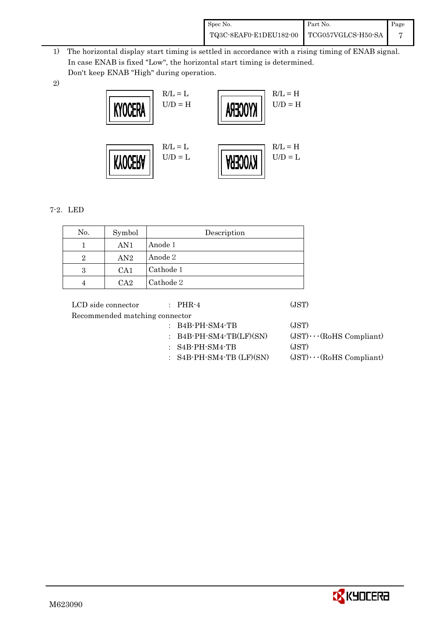| Spec No.                                    | Part No. | Page |
|---------------------------------------------|----------|------|
| TQ3C-8EAF0-E1DEU182-00   TCG057VGLCS-H50-SA |          |      |

- 1) The horizontal display start timing is settled in accordance with a rising timing of ENAB signal. In case ENAB is fixed "Low", the horizontal start timing is determined. Don't keep ENAB "High" during operation.
- 2)



### 7-2.LED

| No. | Symbol | Description |
|-----|--------|-------------|
|     | AN1    | Anode 1     |
| 2   | AN2    | Anode 2     |
| 3   | CA1    | Cathode 1   |
|     | $C_A2$ | Cathode 2   |

LCD side connector : PHR-4 (JST) Recommended matching connector : B4B-PH-SM4-TB (JST) : B4B-PH-SM4-TB(LF)(SN)  $(JST)\cdots (RoHS$  Compliant) : S4B-PH-SM4-TB (JST) : S4B-PH-SM4-TB (LF)(SN) (JST)・・・(RoHS Compliant)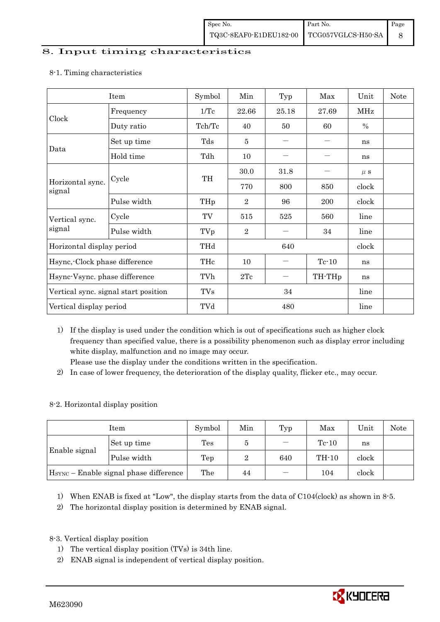#### 8. Input timing characteristics

### Item Symbol Min Typ Max Unit Note Clock Frequency 1/Tc 22.66 25.18 27.69 MHz Duty ratio  $\vert$  Tch/Tc  $\vert$  40  $\vert$  50  $\vert$  60  $\vert$  % Data Set up time Tds 5 - - ns Hold time  $\left| \begin{array}{ccc} \text{Tdh} & \end{array} \right|$  10  $\left| \begin{array}{ccc} - & \end{array} \right|$  ns Horizontal sync. signal Cycle TH  $30.0$   $31.8$   $\mu$  s 770 800 850 clock Pulse width  $THp \mid 2 \mid 96 \mid 200 \mid clock$ Vertical sync. signal  $Cycle$   $TV$   $515$   $525$   $560$   $line$ Pulse width  $TVp \mid 2 \mid -1 \mid 34 \mid \text{line}$ Horizontal display period THd 640 640 clock Hsync,-Clock phase difference  $\vert$  THc  $\vert$  10  $\vert$  - Tc-10 ns Hsync-Vsync. phase difference  $\vert$  TVh  $\vert$  2Tc  $\vert$  - TH-THp  $\vert$  ns Vertical sync. signal start position TVs 34 line Vertical display period and the TVd to the 480 line

#### 8-1. Timing characteristics

1) If the display is used under the condition which is out of specifications such as higher clock frequency than specified value, there is a possibility phenomenon such as display error including white display, malfunction and no image may occur.

Please use the display under the conditions written in the specification.

2) In case of lower frequency, the deterioration of the display quality, flicker etc., may occur.

### 8-2. Horizontal display position

| Item          |                                                    | Symbol | Min | Typ | Max     | Unit  | Note |
|---------------|----------------------------------------------------|--------|-----|-----|---------|-------|------|
|               | Set up time                                        | Tes    | Ð   |     | $Te-10$ | ns    |      |
| Enable signal | Pulse width                                        | Tep    |     | 640 | $TH-10$ | clock |      |
|               | H <sub>SYNC</sub> – Enable signal phase difference | The    | 44  |     | 104     | clock |      |

1) When ENAB is fixed at "Low", the display starts from the data of C104(clock) as shown in 8-5.

2) The horizontal display position is determined by ENAB signal.

### 8-3. Vertical display position

- 1) The vertical display position (TVs) is 34th line.
- 2) ENAB signal is independent of vertical display position.

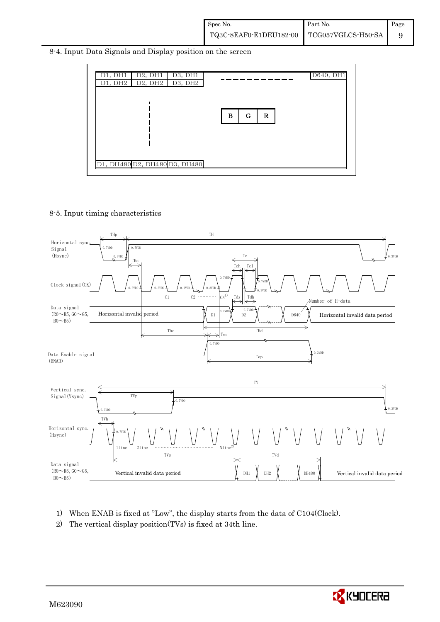8-4. Input Data Signals and Display position on the screen



#### 8-5. Input timing characteristics



- 1) When ENAB is fixed at "Low", the display starts from the data of C104(Clock).
- 2) The vertical display position(TVs) is fixed at 34th line.

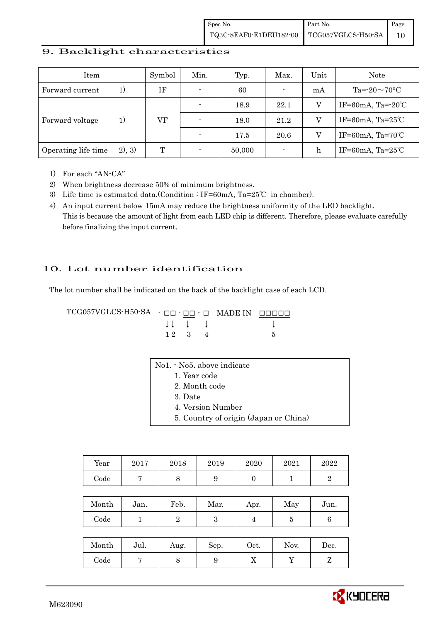#### 9. Backlight characteristics

| Item                |        | Symbol | Min.           | Typ.   | Max.           | Unit        | Note                         |
|---------------------|--------|--------|----------------|--------|----------------|-------------|------------------------------|
| Forward current     | 1)     | ΙF     | $\blacksquare$ | 60     | $\blacksquare$ | mA          | Ta= $-20\sim70$ °C           |
|                     |        |        | $\blacksquare$ | 18.9   | 22.1           |             | IF=60mA, Ta= $-20^{\circ}$ C |
| Forward voltage     | 1)     | VF     |                | 18.0   | 21.2           |             | IF=60mA, Ta= $25^{\circ}$ C  |
|                     |        |        |                | 17.5   | 20.6           |             | IF=60mA, Ta= $70^{\circ}$ C  |
| Operating life time | 2), 3) | T      |                | 50,000 |                | $\mathbf h$ | IF=60mA, Ta= $25^{\circ}$ C  |

- 1) For each "AN-CA"
- 2) When brightness decrease 50% of minimum brightness.
- 3) Life time is estimated data.(Condition : IF=60mA, Ta=25℃ in chamber).
- 4) An input current below 15mA may reduce the brightness uniformity of the LED backlight. This is because the amount of light from each LED chip is different. Therefore, please evaluate carefully before finalizing the input current.

### 10. Lot number identification

The lot number shall be indicated on the back of the backlight case of each LCD.

TCG057VGLCS-H50-SA - □□ - □□ - □ MADE IN □□□□□ ↓ ↓ ↓ ↓ ↓  $1 \ 2 \ 3 \ 4$  5

| Year | 2017 | 2018 | 2019 | 2020 | 2021 | 2022 |
|------|------|------|------|------|------|------|
| Code |      | ◡    | ັ    |      |      |      |

| Month | Jan. | Feb. | Mar. | Apr. | May | Jun. |
|-------|------|------|------|------|-----|------|
| Code  |      |      |      |      |     |      |

| Month | Jul. | Aug. | Sep. | $\rm Oct.$ | Nov. | $\operatorname{Dec.}$ |
|-------|------|------|------|------------|------|-----------------------|
| Code  |      |      |      | v          |      |                       |

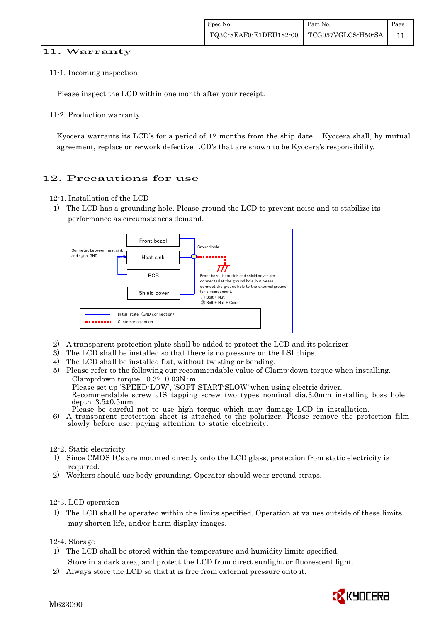#### 11. Warranty

11-1. Incoming inspection

Please inspect the LCD within one month after your receipt.

11-2. Production warranty

 Kyocera warrants its LCD's for a period of 12 months from the ship date. Kyocera shall, by mutual agreement, replace or re-work defective LCD's that are shown to be Kyocera's responsibility.

### 12. Precautions for use

- 12-1. Installation of the LCD
- 1) The LCD has a grounding hole. Please ground the LCD to prevent noise and to stabilize its performance as circumstances demand.



- 2) A transparent protection plate shall be added to protect the LCD and its polarizer
- 3) The LCD shall be installed so that there is no pressure on the LSI chips.
- 4) The LCD shall be installed flat, without twisting or bending.
- 5) Please refer to the following our recommendable value of Clamp-down torque when installing. Clamp-down torque :  $0.32\pm0.03$ N·m Please set up 'SPEED-LOW', 'SOFT START-SLOW' when using electric driver. Recommendable screw JIS tapping screw two types nominal dia.3.0mm installing boss hole depth 3.5±0.5mm<br>Please be careful not to use high torque which may damage LCD in installation. 6) A transparent protection sheet is attached to the polarizer. Please remove the protection film slowly before use, paying attention to static electricity.

#### 12-2. Static electricity

- 1) Since CMOS ICs are mounted directly onto the LCD glass, protection from static electricity is required.
- 2) Workers should use body grounding. Operator should wear ground straps.

#### 12-3. LCD operation

1) The LCD shall be operated within the limits specified. Operation at values outside of these limits may shorten life, and/or harm display images.

12-4. Storage

- 1) The LCD shall be stored within the temperature and humidity limits specified.
	- Store in a dark area, and protect the LCD from direct sunlight or fluorescent light.
- 2) Always store the LCD so that it is free from external pressure onto it.

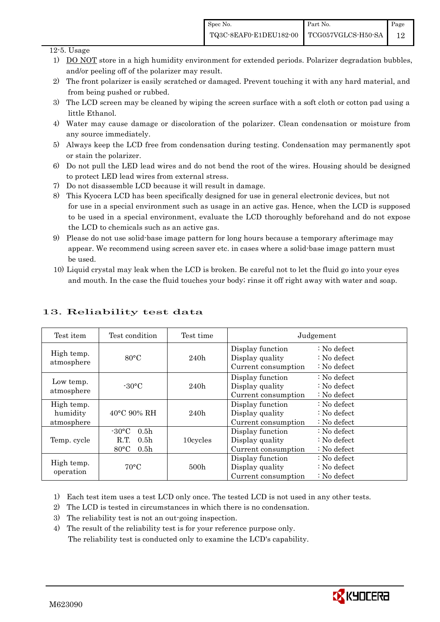#### $12-5$ . Usage

- 1) DO NOT store in a high humidity environment for extended periods. Polarizer degradation bubbles, and/or peeling off of the polarizer may result.
- 2) The front polarizer is easily scratched or damaged. Prevent touching it with any hard material, and from being pushed or rubbed.
- 3) The LCD screen may be cleaned by wiping the screen surface with a soft cloth or cotton pad using a little Ethanol.
- 4) Water may cause damage or discoloration of the polarizer. Clean condensation or moisture from any source immediately.
- 5) Always keep the LCD free from condensation during testing. Condensation may permanently spot or stain the polarizer.
- 6) Do not pull the LED lead wires and do not bend the root of the wires. Housing should be designed to protect LED lead wires from external stress.
- 7) Do not disassemble LCD because it will result in damage.
- 8) This Kyocera LCD has been specifically designed for use in general electronic devices, but not for use in a special environment such as usage in an active gas. Hence, when the LCD is supposed to be used in a special environment, evaluate the LCD thoroughly beforehand and do not expose the LCD to chemicals such as an active gas.
- 9) Please do not use solid-base image pattern for long hours because a temporary afterimage may appear. We recommend using screen saver etc. in cases where a solid-base image pattern must be used.
- 10) Liquid crystal may leak when the LCD is broken. Be careful not to let the fluid go into your eyes and mouth. In the case the fluid touches your body; rinse it off right away with water and soap.

| Test item                            | Test condition                                                                                        | Test time | Judgement                                                  |                                                                            |  |
|--------------------------------------|-------------------------------------------------------------------------------------------------------|-----------|------------------------------------------------------------|----------------------------------------------------------------------------|--|
| High temp.<br>atmosphere             | $80^{\circ}$ C<br>240h                                                                                |           | Display function<br>Display quality<br>Current consumption | $\therefore$ No defect<br>$\therefore$ No defect<br>$\therefore$ No defect |  |
| Low temp.<br>atmosphere              | $-30\degree C$                                                                                        | 240h      | Display function<br>Display quality<br>Current consumption | $\therefore$ No defect<br>$\therefore$ No defect<br>$\therefore$ No defect |  |
| High temp.<br>humidity<br>atmosphere | $40^{\circ}$ C 90% RH                                                                                 | 240h      | Display function<br>Display quality<br>Current consumption | : No defect<br>$\therefore$ No defect<br>$\therefore$ No defect            |  |
| Temp. cycle                          | $-30^{\circ}$ C<br>0.5 <sub>h</sub><br>0.5 <sub>h</sub><br>R.T.<br>$80^{\circ}$ C<br>0.5 <sub>h</sub> | 10cycles  | Display function<br>Display quality<br>Current consumption | $\therefore$ No defect<br>$\therefore$ No defect<br>$\therefore$ No defect |  |
| High temp.<br>operation              | $70^{\circ}$ C                                                                                        | 500h      | Display function<br>Display quality<br>Current consumption | $\therefore$ No defect<br>$\therefore$ No defect<br>$\therefore$ No defect |  |

## 13. Reliability test data

1) Each test item uses a test LCD only once. The tested LCD is not used in any other tests.

- 2) The LCD is tested in circumstances in which there is no condensation.
- 3) The reliability test is not an out-going inspection.
- 4) The result of the reliability test is for your reference purpose only. The reliability test is conducted only to examine the LCD's capability.

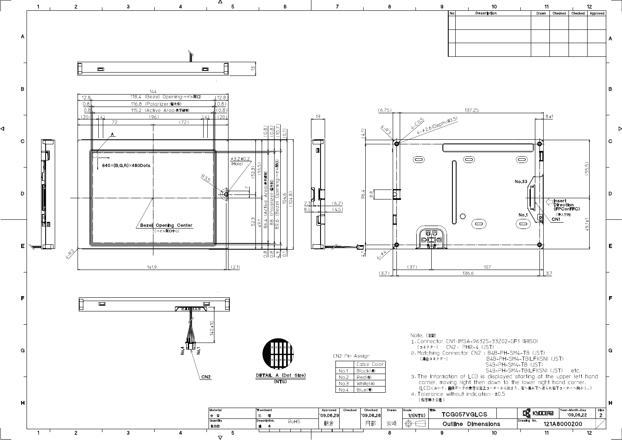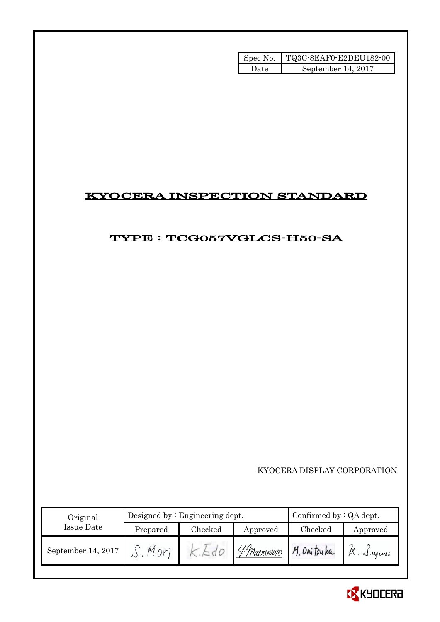| Spec No. | TQ3C-8EAF0-E2DEU182-00 |
|----------|------------------------|
| Date.    | September 14, 2017     |

## KYOCERA INSPECTION STANDARD

## TYPE : TCG057VGLCS-H50-SA

KYOCERA DISPLAY CORPORATION

| Original           |          | Designed by $:$ Engineering dept. | Confirmed by $:QA$ dept. |             |           |
|--------------------|----------|-----------------------------------|--------------------------|-------------|-----------|
| Issue Date         | Prepared | Checked                           | Approved                 | Checked     | Approved  |
| September 14, 2017 | Mnr      |                                   | 4 Marximoro              | M. Onitsuka | K. Sugani |

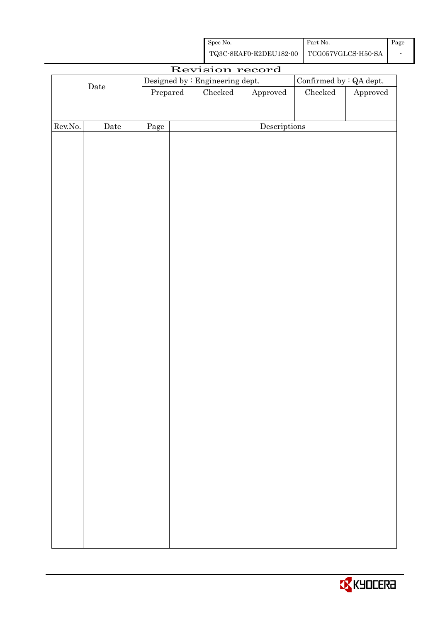| Spec No.                                  | Part No. | Page |
|-------------------------------------------|----------|------|
| TQ3C-8EAF0-E2DEU182-00 TCG057VGLCS-H50-SA |          |      |

| Revision record |      |                                 |  |                                   |                                |         |          |
|-----------------|------|---------------------------------|--|-----------------------------------|--------------------------------|---------|----------|
| $\rm{Date}$     |      | Designed by : Engineering dept. |  |                                   | Confirmed by $\colon$ QA dept. |         |          |
|                 |      | Prepared                        |  | Checked<br>${\Large\bf Approved}$ |                                | Checked | Approved |
|                 |      |                                 |  |                                   |                                |         |          |
|                 |      |                                 |  |                                   |                                |         |          |
| Rev.No.         | Date | Page                            |  |                                   | Descriptions                   |         |          |
|                 |      |                                 |  |                                   |                                |         |          |
|                 |      |                                 |  |                                   |                                |         |          |
|                 |      |                                 |  |                                   |                                |         |          |
|                 |      |                                 |  |                                   |                                |         |          |
|                 |      |                                 |  |                                   |                                |         |          |
|                 |      |                                 |  |                                   |                                |         |          |
|                 |      |                                 |  |                                   |                                |         |          |
|                 |      |                                 |  |                                   |                                |         |          |
|                 |      |                                 |  |                                   |                                |         |          |
|                 |      |                                 |  |                                   |                                |         |          |
|                 |      |                                 |  |                                   |                                |         |          |
|                 |      |                                 |  |                                   |                                |         |          |
|                 |      |                                 |  |                                   |                                |         |          |
|                 |      |                                 |  |                                   |                                |         |          |
|                 |      |                                 |  |                                   |                                |         |          |
|                 |      |                                 |  |                                   |                                |         |          |
|                 |      |                                 |  |                                   |                                |         |          |
|                 |      |                                 |  |                                   |                                |         |          |
|                 |      |                                 |  |                                   |                                |         |          |
|                 |      |                                 |  |                                   |                                |         |          |
|                 |      |                                 |  |                                   |                                |         |          |
|                 |      |                                 |  |                                   |                                |         |          |
|                 |      |                                 |  |                                   |                                |         |          |
|                 |      |                                 |  |                                   |                                |         |          |
|                 |      |                                 |  |                                   |                                |         |          |
|                 |      |                                 |  |                                   |                                |         |          |
|                 |      |                                 |  |                                   |                                |         |          |
|                 |      |                                 |  |                                   |                                |         |          |
|                 |      |                                 |  |                                   |                                |         |          |
|                 |      |                                 |  |                                   |                                |         |          |
|                 |      |                                 |  |                                   |                                |         |          |
|                 |      |                                 |  |                                   |                                |         |          |
|                 |      |                                 |  |                                   |                                |         |          |
|                 |      |                                 |  |                                   |                                |         |          |
|                 |      |                                 |  |                                   |                                |         |          |
|                 |      |                                 |  |                                   |                                |         |          |

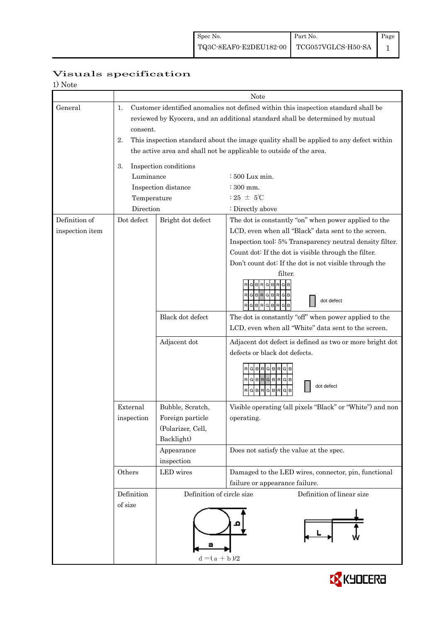| 1) Note         |                                                                                              |                           |                                                           |  |  |  |  |
|-----------------|----------------------------------------------------------------------------------------------|---------------------------|-----------------------------------------------------------|--|--|--|--|
|                 |                                                                                              | Note                      |                                                           |  |  |  |  |
| General         | 1.<br>Customer identified anomalies not defined within this inspection standard shall be     |                           |                                                           |  |  |  |  |
|                 | reviewed by Kyocera, and an additional standard shall be determined by mutual                |                           |                                                           |  |  |  |  |
|                 | consent.                                                                                     |                           |                                                           |  |  |  |  |
|                 | This inspection standard about the image quality shall be applied to any defect within<br>2. |                           |                                                           |  |  |  |  |
|                 | the active area and shall not be applicable to outside of the area.                          |                           |                                                           |  |  |  |  |
|                 | Inspection conditions<br>3.                                                                  |                           |                                                           |  |  |  |  |
|                 | Luminance                                                                                    |                           | : 500 Lux min.                                            |  |  |  |  |
|                 |                                                                                              | Inspection distance       | $:300$ mm.                                                |  |  |  |  |
|                 | Temperature                                                                                  |                           | : 25 $\pm$ 5°C                                            |  |  |  |  |
|                 | Direction                                                                                    |                           | : Directly above                                          |  |  |  |  |
| Definition of   | Dot defect                                                                                   | Bright dot defect         | The dot is constantly "on" when power applied to the      |  |  |  |  |
| inspection item |                                                                                              |                           | LCD, even when all "Black" data sent to the screen.       |  |  |  |  |
|                 |                                                                                              |                           | Inspection tool: 5% Transparency neutral density filter.  |  |  |  |  |
|                 |                                                                                              |                           | Count dot: If the dot is visible through the filter.      |  |  |  |  |
|                 |                                                                                              |                           | Don't count dot: If the dot is not visible through the    |  |  |  |  |
|                 |                                                                                              |                           | filter.                                                   |  |  |  |  |
|                 |                                                                                              |                           | R<br>G B                                                  |  |  |  |  |
|                 |                                                                                              |                           | RGBRGBR<br>GI<br>dot defect                               |  |  |  |  |
|                 |                                                                                              |                           | G <sub>B</sub><br>G B R<br>R                              |  |  |  |  |
|                 |                                                                                              | Black dot defect          | The dot is constantly "off" when power applied to the     |  |  |  |  |
|                 |                                                                                              |                           | LCD, even when all "White" data sent to the screen.       |  |  |  |  |
|                 |                                                                                              | Adjacent dot              | Adjacent dot defect is defined as two or more bright dot  |  |  |  |  |
|                 |                                                                                              |                           | defects or black dot defects.                             |  |  |  |  |
|                 |                                                                                              |                           | RGBRGBRG                                                  |  |  |  |  |
|                 |                                                                                              |                           | RGBRGBRGB                                                 |  |  |  |  |
|                 |                                                                                              |                           | dot defect<br>GBRGBR<br>G                                 |  |  |  |  |
|                 |                                                                                              |                           |                                                           |  |  |  |  |
|                 | External                                                                                     | Bubble, Scratch,          | Visible operating (all pixels "Black" or "White") and non |  |  |  |  |
|                 | inspection                                                                                   | Foreign particle          | operating.                                                |  |  |  |  |
|                 |                                                                                              | (Polarizer, Cell,         |                                                           |  |  |  |  |
|                 |                                                                                              | Backlight)                |                                                           |  |  |  |  |
|                 |                                                                                              | Appearance                | Does not satisfy the value at the spec.                   |  |  |  |  |
|                 |                                                                                              | inspection                |                                                           |  |  |  |  |
|                 | Others                                                                                       | LED wires                 | Damaged to the LED wires, connector, pin, functional      |  |  |  |  |
|                 |                                                                                              |                           | failure or appearance failure.                            |  |  |  |  |
|                 | Definition                                                                                   | Definition of circle size | Definition of linear size                                 |  |  |  |  |
|                 | of size                                                                                      |                           |                                                           |  |  |  |  |
|                 |                                                                                              |                           |                                                           |  |  |  |  |
|                 |                                                                                              |                           |                                                           |  |  |  |  |
|                 |                                                                                              |                           |                                                           |  |  |  |  |
|                 |                                                                                              |                           |                                                           |  |  |  |  |
|                 |                                                                                              | $d = (a + b)/2$           |                                                           |  |  |  |  |

## Visuals specification